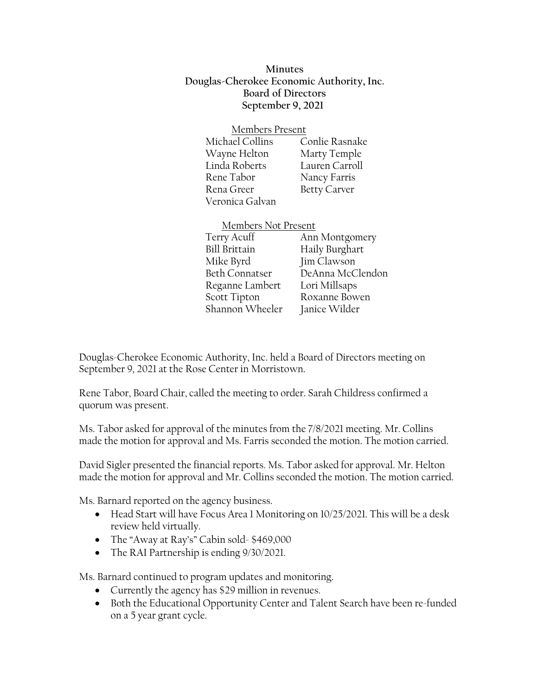**Minutes Douglas-Cherokee Economic Authority, Inc. Board of Directors September 9, 2021**

## Members Present

| Michael Collins | Conlie Rasnake      |
|-----------------|---------------------|
| Wayne Helton    | Marty Temple        |
| Linda Roberts   | Lauren Carroll      |
| Rene Tabor      | Nancy Farris        |
| Rena Greer      | <b>Betty Carver</b> |
| Veronica Galvan |                     |

## Members Not Present

Terry Acuff Ann Montgomery Bill Brittain Haily Burghart Mike Byrd Jim Clawson Beth Connatser DeAnna McClendon Reganne Lambert Lori Millsaps Scott Tipton Roxanne Bowen Shannon Wheeler Janice Wilder

Douglas-Cherokee Economic Authority, Inc. held a Board of Directors meeting on September 9, 2021 at the Rose Center in Morristown.

Rene Tabor, Board Chair, called the meeting to order. Sarah Childress confirmed a quorum was present.

Ms. Tabor asked for approval of the minutes from the 7/8/2021 meeting. Mr. Collins made the motion for approval and Ms. Farris seconded the motion. The motion carried.

David Sigler presented the financial reports. Ms. Tabor asked for approval. Mr. Helton made the motion for approval and Mr. Collins seconded the motion. The motion carried.

Ms. Barnard reported on the agency business.

- Head Start will have Focus Area 1 Monitoring on 10/25/2021. This will be a desk review held virtually.
- The "Away at Ray's" Cabin sold- \$469,000
- The RAI Partnership is ending  $9/30/2021$ .

Ms. Barnard continued to program updates and monitoring.

- Currently the agency has \$29 million in revenues.
- Both the Educational Opportunity Center and Talent Search have been re-funded on a 5 year grant cycle.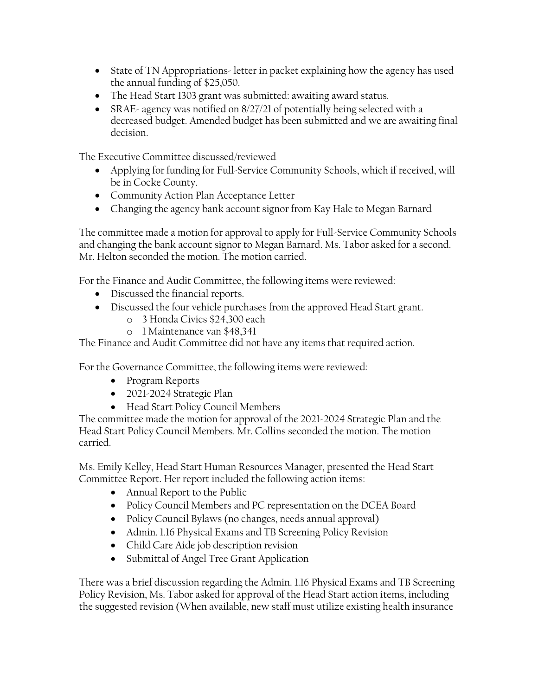- State of TN Appropriations-letter in packet explaining how the agency has used the annual funding of \$25,050.
- The Head Start 1303 grant was submitted: awaiting award status.
- SRAE- agency was notified on 8/27/21 of potentially being selected with a decreased budget. Amended budget has been submitted and we are awaiting final decision.

The Executive Committee discussed/reviewed

- Applying for funding for Full-Service Community Schools, which if received, will be in Cocke County.
- Community Action Plan Acceptance Letter
- Changing the agency bank account signor from Kay Hale to Megan Barnard

The committee made a motion for approval to apply for Full-Service Community Schools and changing the bank account signor to Megan Barnard. Ms. Tabor asked for a second. Mr. Helton seconded the motion. The motion carried.

For the Finance and Audit Committee, the following items were reviewed:

- Discussed the financial reports.
- Discussed the four vehicle purchases from the approved Head Start grant.
	- o 3 Honda Civics \$24,300 each
	- o 1 Maintenance van \$48,341

The Finance and Audit Committee did not have any items that required action.

For the Governance Committee, the following items were reviewed:

- Program Reports
- 2021-2024 Strategic Plan
- Head Start Policy Council Members

The committee made the motion for approval of the 2021-2024 Strategic Plan and the Head Start Policy Council Members. Mr. Collins seconded the motion. The motion carried.

Ms. Emily Kelley, Head Start Human Resources Manager, presented the Head Start Committee Report. Her report included the following action items:

- Annual Report to the Public
- Policy Council Members and PC representation on the DCEA Board
- Policy Council Bylaws (no changes, needs annual approval)
- Admin. 1.16 Physical Exams and TB Screening Policy Revision
- Child Care Aide job description revision
- Submittal of Angel Tree Grant Application

There was a brief discussion regarding the Admin. 1.16 Physical Exams and TB Screening Policy Revision, Ms. Tabor asked for approval of the Head Start action items, including the suggested revision (When available, new staff must utilize existing health insurance